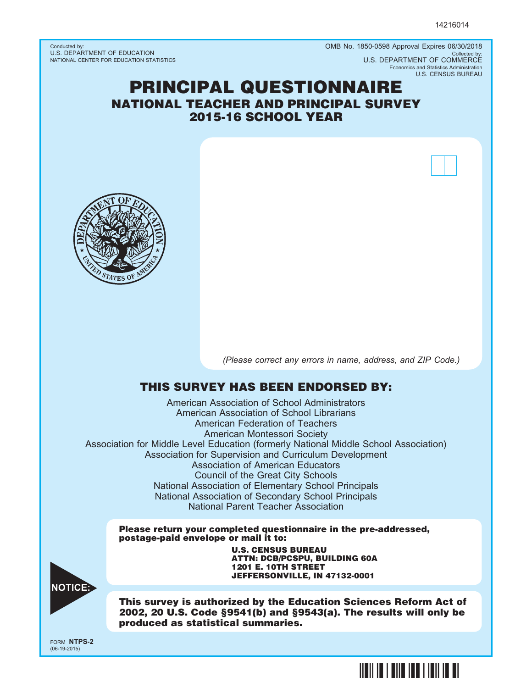Conducted by: U.S. DEPARTMENT OF EDUCATION NATIONAL CENTER FOR EDUCATION STATISTICS OMB No. 1850-0598 Approval Expires 06/30/2018 Collected by: U.S. DEPARTMENT OF COMMERCE Economics and Statistics Administration U.S. CENSUS BUREAU

# **PRINCIPAL QUESTIONNAIRE NATIONAL TEACHER AND PRINCIPAL SURVEY 2015-16 SCHOOL YEAR**



*(Please correct any errors in name, address, and ZIP Code.)*

### **THIS SURVEY HAS BEEN ENDORSED BY:**

American Association of School Administrators American Association of School Librarians American Federation of Teachers American Montessori Society Association for Middle Level Education (formerly National Middle School Association) Association for Supervision and Curriculum Development Association of American Educators Council of the Great City Schools National Association of Elementary School Principals National Association of Secondary School Principals National Parent Teacher Association

**Please return your completed questionnaire in the pre-addressed, postage-paid envelope or mail it to: U.S. CENSUS BUREAU ATTN: DCB/PCSPU, BUILDING 60A**

**1201 E. 10TH STREET**

**NOTICE:**

**This survey is authorized by the Education Sciences Reform Act of 2002, 20 U.S. Code §9541(b) and §9543(a). The results will only be produced as statistical summaries.**

**JEFFERSONVILLE, IN 47132-0001**

FORM **NTPS-2** (06-19-2015)

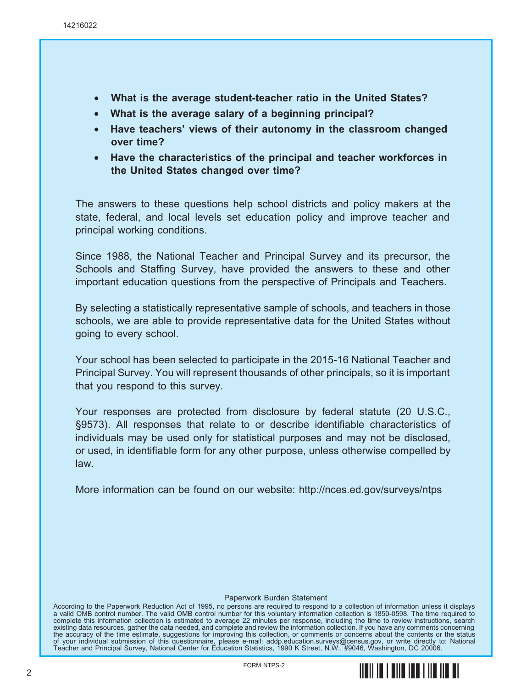- **What is the average student-teacher ratio in the United States?**
- **What is the average salary of a beginning principal?**
- **Have teachers' views of their autonomy in the classroom changed over time?**
- **Have the characteristics of the principal and teacher workforces in the United States changed over time?**

The answers to these questions help school districts and policy makers at the state, federal, and local levels set education policy and improve teacher and principal working conditions.

Since 1988, the National Teacher and Principal Survey and its precursor, the Schools and Staffing Survey, have provided the answers to these and other important education questions from the perspective of Principals and Teachers.

By selecting a statistically representative sample of schools, and teachers in those schools, we are able to provide representative data for the United States without going to every school.

Your school has been selected to participate in the 2015-16 National Teacher and Principal Survey. You will represent thousands of other principals, so it is important that you respond to this survey.

Your responses are protected from disclosure by federal statute (20 U.S.C., §9573). All responses that relate to or describe identifiable characteristics of individuals may be used only for statistical purposes and may not be disclosed, or used, in identifiable form for any other purpose, unless otherwise compelled by law.

More information can be found on our website: http://nces.ed.gov/surveys/ntps

#### Paperwork Burden Statement

According to the Paperwork Reduction Act of 1995, no persons are required to respond to a collection of information unless it displays<br>a valid OMB control number. The valid OMB control number for this voluntary information existing data resources, gather the data needed, and complete and review the information collection. If you have any comments concerning the accuracy of the time estimate, suggestions for improving this collection, or comments or concerns about the contents or the status of your individual submission of this questionnaire, please e-mail: addp.education.surveys@census.gov, or write directly to: National Teacher and Principal Survey, National Center for Education Statistics, 1990 K Street, N.W., #9046, Washington, DC 20006.

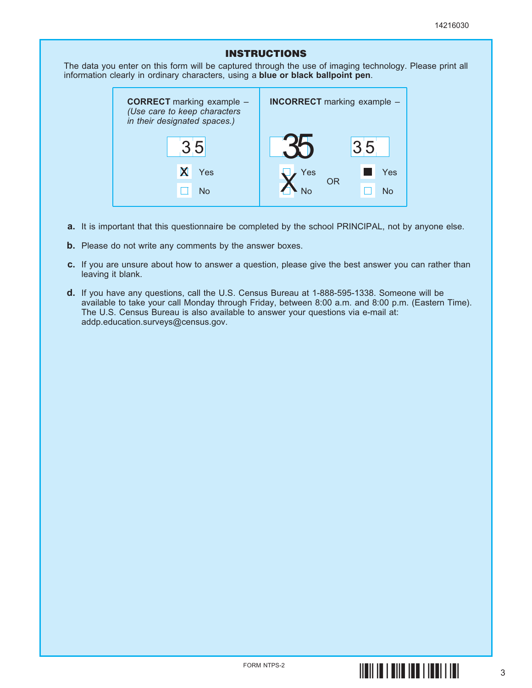### **INSTRUCTIONS**

The data you enter on this form will be captured through the use of imaging technology. Please print all information clearly in ordinary characters, using a **blue or black ballpoint pen**.



- **a.** It is important that this questionnaire be completed by the school PRINCIPAL, not by anyone else.
- **b.** Please do not write any comments by the answer boxes.
- If you are unsure about how to answer a question, please give the best answer you can rather than **c.** leaving it blank.
- d. If you have any questions, call the U.S. Census Bureau at 1-888-595-1338. Someone will be available to take your call Monday through Friday, between 8:00 a.m. and 8:00 p.m. (Eastern Time). The U.S. Census Bureau is also available to answer your questions via e-mail at: addp.education.surveys@census.gov.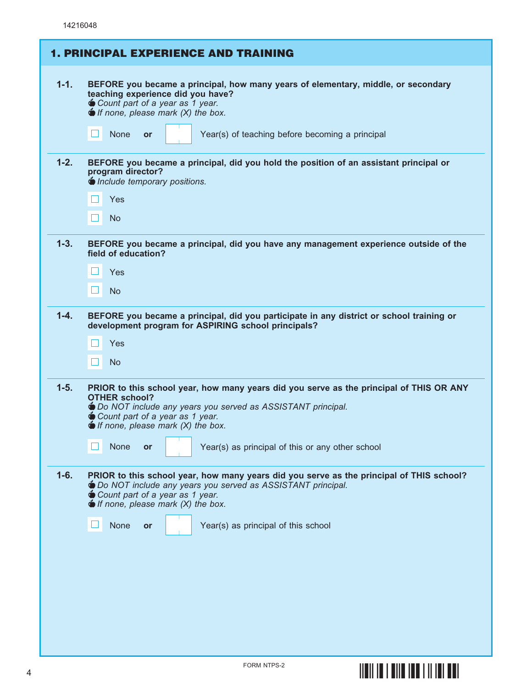| $1 - 1.$ | BEFORE you became a principal, how many years of elementary, middle, or secondary<br>teaching experience did you have?<br>Count part of a year as 1 year.<br>$\bullet$ If none, please mark $(X)$ the box.                                                                 |
|----------|----------------------------------------------------------------------------------------------------------------------------------------------------------------------------------------------------------------------------------------------------------------------------|
|          | None<br>Year(s) of teaching before becoming a principal<br>or                                                                                                                                                                                                              |
| $1 - 2.$ | BEFORE you became a principal, did you hold the position of an assistant principal or<br>program director?<br><i>i</i> Include temporary positions.                                                                                                                        |
|          | Yes                                                                                                                                                                                                                                                                        |
|          | <b>No</b>                                                                                                                                                                                                                                                                  |
| $1 - 3.$ | BEFORE you became a principal, did you have any management experience outside of the<br>field of education?                                                                                                                                                                |
|          | Yes                                                                                                                                                                                                                                                                        |
|          | <b>No</b>                                                                                                                                                                                                                                                                  |
| $1 - 4.$ | BEFORE you became a principal, did you participate in any district or school training or<br>development program for ASPIRING school principals?                                                                                                                            |
|          | Yes                                                                                                                                                                                                                                                                        |
|          | <b>No</b>                                                                                                                                                                                                                                                                  |
| $1 - 5.$ | PRIOR to this school year, how many years did you serve as the principal of THIS OR ANY<br><b>OTHER school?</b><br><b>ODO NOT include any years you served as ASSISTANT principal.</b><br>Count part of a year as 1 year.<br>$\bullet$ If none, please mark $(X)$ the box. |
|          | None<br>Year(s) as principal of this or any other school<br>or                                                                                                                                                                                                             |
| $1 - 6.$ | PRIOR to this school year, how many years did you serve as the principal of THIS school?<br><i>Do NOT include any years you served as ASSISTANT principal.</i><br>Count part of a year as 1 year.<br>$\bullet$ If none, please mark $(X)$ the box.                         |
|          | <b>None</b><br>Year(s) as principal of this school<br>or                                                                                                                                                                                                                   |
|          |                                                                                                                                                                                                                                                                            |
|          |                                                                                                                                                                                                                                                                            |
|          |                                                                                                                                                                                                                                                                            |
|          |                                                                                                                                                                                                                                                                            |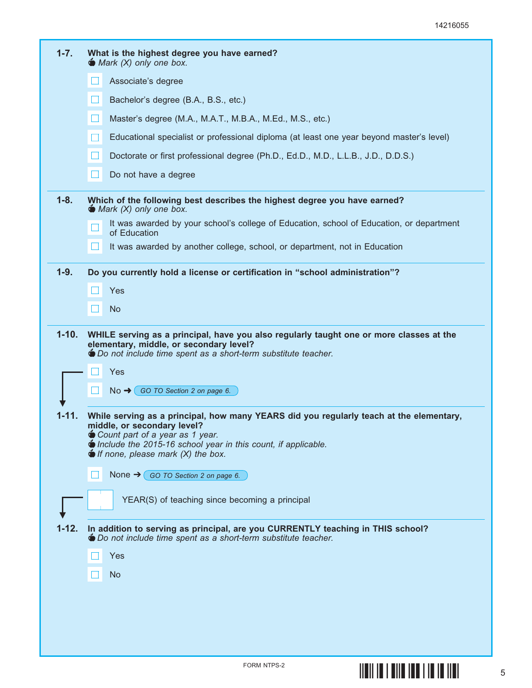#### 14216055

| $1 - 7.$  | What is the highest degree you have earned?<br>$\bullet$ Mark $(X)$ only one box.                                                                                                                             |
|-----------|---------------------------------------------------------------------------------------------------------------------------------------------------------------------------------------------------------------|
|           | Associate's degree                                                                                                                                                                                            |
|           | Bachelor's degree (B.A., B.S., etc.)                                                                                                                                                                          |
|           | Master's degree (M.A., M.A.T., M.B.A., M.Ed., M.S., etc.)                                                                                                                                                     |
|           | Educational specialist or professional diploma (at least one year beyond master's level)                                                                                                                      |
|           | Doctorate or first professional degree (Ph.D., Ed.D., M.D., L.L.B., J.D., D.D.S.)                                                                                                                             |
|           | Do not have a degree                                                                                                                                                                                          |
| $1 - 8.$  | Which of the following best describes the highest degree you have earned?<br>$\bullet$ Mark (X) only one box.                                                                                                 |
|           | It was awarded by your school's college of Education, school of Education, or department<br>of Education                                                                                                      |
|           | It was awarded by another college, school, or department, not in Education                                                                                                                                    |
| $1-9.$    | Do you currently hold a license or certification in "school administration"?                                                                                                                                  |
|           | Yes                                                                                                                                                                                                           |
|           | <b>No</b>                                                                                                                                                                                                     |
| $1 - 10.$ | WHILE serving as a principal, have you also regularly taught one or more classes at the<br>elementary, middle, or secondary level?<br><b>OD</b> Do not include time spent as a short-term substitute teacher. |
|           | Yes                                                                                                                                                                                                           |
|           | $No \rightarrow$ (GO TO Section 2 on page 6.                                                                                                                                                                  |
|           |                                                                                                                                                                                                               |
| $1 - 11.$ | While serving as a principal, how many YEARS did you regularly teach at the elementary,<br>middle, or secondary level?                                                                                        |
|           | Count part of a year as 1 year.<br>• Include the 2015-16 school year in this count, if applicable.                                                                                                            |
|           | $\bullet$ If none, please mark $(X)$ the box.                                                                                                                                                                 |
|           | None $\rightarrow$ GO TO Section 2 on page 6.                                                                                                                                                                 |
|           | YEAR(S) of teaching since becoming a principal                                                                                                                                                                |
| $1 - 12.$ | In addition to serving as principal, are you CURRENTLY teaching in THIS school?<br>Do not include time spent as a short-term substitute teacher.                                                              |
|           | Yes                                                                                                                                                                                                           |
|           | <b>No</b>                                                                                                                                                                                                     |
|           |                                                                                                                                                                                                               |
|           |                                                                                                                                                                                                               |
|           |                                                                                                                                                                                                               |
|           |                                                                                                                                                                                                               |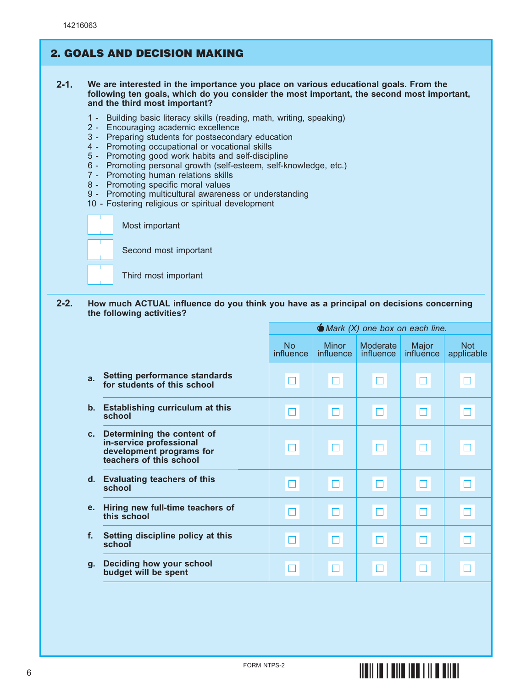### **2. GOALS AND DECISION MAKING**

#### **2-1. We are interested in the importance you place on various educational goals. From the following ten goals, which do you consider the most important, the second most important, and the third most important?**

- 1 Building basic literacy skills (reading, math, writing, speaking)
- 2 Encouraging academic excellence
- 3 Preparing students for postsecondary education
- 4 Promoting occupational or vocational skills
- 5 Promoting good work habits and self-discipline
- 6 Promoting personal growth (self-esteem, self-knowledge, etc.)
- 7 Promoting human relations skills
- 8 Promoting specific moral values
- 9 Promoting multicultural awareness or understanding
- 10 Fostering religious or spiritual development



**How much ACTUAL influence do you think you have as a principal on decisions concerning the following activities? 2-2.**

|                |                                                                                                                 |                             |                           | $\bullet$ Mark (X) one box on each line. |                    |                          |
|----------------|-----------------------------------------------------------------------------------------------------------------|-----------------------------|---------------------------|------------------------------------------|--------------------|--------------------------|
|                |                                                                                                                 | N <sub>o</sub><br>influence | <b>Minor</b><br>influence | Moderate<br>influence                    | Major<br>influence | <b>Not</b><br>applicable |
| a <sub>z</sub> | <b>Setting performance standards</b><br>for students of this school                                             | $\Box$                      | $\Box$                    | $\Box$                                   | $\Box$             | $\Box$                   |
| $\mathbf b$ .  | <b>Establishing curriculum at this</b><br>school                                                                | $\Box$                      | $\Box$                    | $\Box$                                   | $\Box$             | $\Box$                   |
|                | c. Determining the content of<br>in-service professional<br>development programs for<br>teachers of this school | $\Box$                      | $\Box$                    | $\Box$                                   | $\Box$             | $\Box$                   |
| d.             | <b>Evaluating teachers of this</b><br>school                                                                    | $\Box$                      | $\Box$                    | $\Box$                                   | $\Box$             | П                        |
| e.             | Hiring new full-time teachers of<br>this school                                                                 | $\Box$                      | $\Box$                    | $\Box$                                   | $\Box$             | $\Box$                   |
| f.             | Setting discipline policy at this<br>school                                                                     | $\Box$                      | $\Box$                    | $\Box$                                   | $\Box$             | $\Box$                   |
| g.             | <b>Deciding how your school</b><br>budget will be spent                                                         | $\Box$                      | $\Box$                    | $\Box$                                   | $\Box$             | П                        |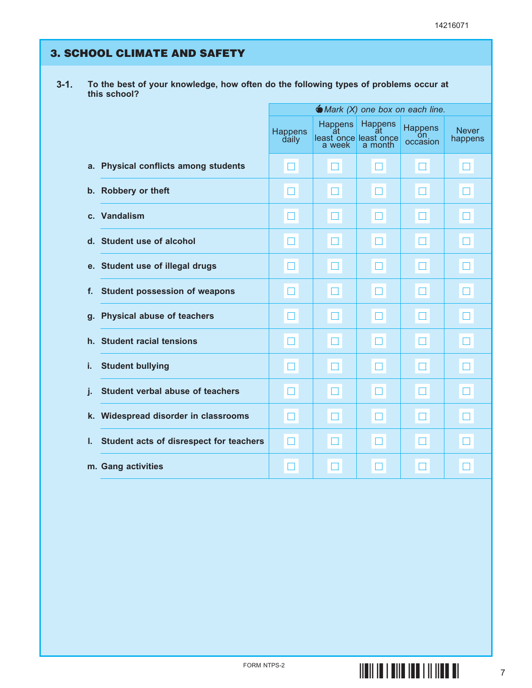## **3. SCHOOL CLIMATE AND SAFETY**

#### **To the best of your knowledge, how often do the following types of problems occur at this school? 3-1.**

|                                                |                  |                                                     | Mark (X) one box on each line. |                                             |                         |
|------------------------------------------------|------------------|-----------------------------------------------------|--------------------------------|---------------------------------------------|-------------------------|
|                                                | Happens<br>daily | Happens<br>at dt<br>least once least once<br>a week | Happens<br>a month             | <b>Happens</b><br>$\mathsf{on}$<br>occasion | <b>Never</b><br>happens |
| a. Physical conflicts among students           |                  | - 1                                                 | - 1                            | - 1                                         | H                       |
| b. Robbery or theft                            | $\mathbf{I}$     | П                                                   | П                              | П                                           | П                       |
| c. Vandalism                                   | . I              | - 1                                                 | H                              | $\mathbf{I}$                                | H                       |
| d. Student use of alcohol                      | $\mathcal{A}$    | П                                                   | П                              | П                                           | $\Box$                  |
| e. Student use of illegal drugs                | . I              | m.                                                  | П                              | $\Box$                                      |                         |
| <b>Student possession of weapons</b><br>f.     | H                | $\Box$                                              | $\mathbf{L}$                   | $\Box$                                      | H                       |
| <b>Physical abuse of teachers</b><br><b>g.</b> | H                | П                                                   | $\Box$                         | П                                           | П                       |
| h. Student racial tensions                     | H                | □                                                   | $\Box$                         | $\Box$                                      | П                       |
| <b>Student bullying</b><br>i.                  | $\mathsf{L}$     | П                                                   | П                              | П                                           | П                       |
| <b>Student verbal abuse of teachers</b><br>j.  | - 1              | П                                                   | $\mathbf{L}$                   | $\mathsf{L}$                                | □                       |
| Widespread disorder in classrooms<br>k.        | $\mathbf{I}$     | $\Box$                                              | $\Box$                         | $\mathsf{L}$                                | H                       |
| Student acts of disrespect for teachers<br>ı.  | $\mathcal{A}$    | H                                                   | П                              | П                                           | П                       |
| m. Gang activities                             |                  |                                                     | - 1                            | ×.                                          |                         |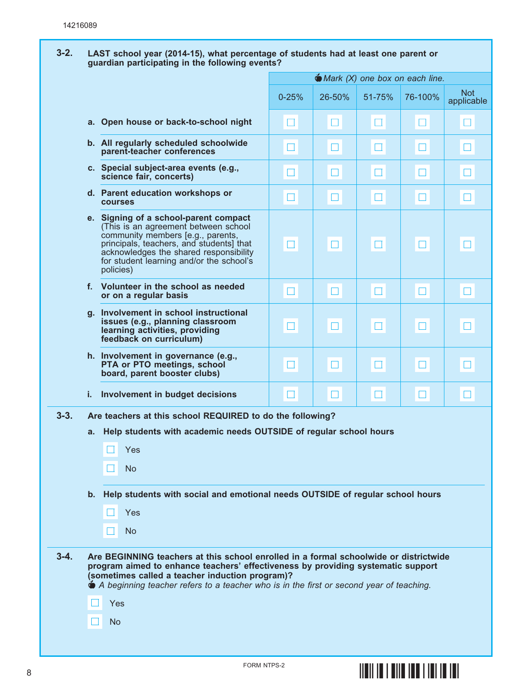#### **3-2. LAST school year (2014-15), what percentage of students had at least one parent or guardian participating in the following events?**

|          |    |                                                                                                                                                                                                                                                                                                                                      |              |        |        | $\bullet$ Mark $(X)$ one box on each line. |                          |
|----------|----|--------------------------------------------------------------------------------------------------------------------------------------------------------------------------------------------------------------------------------------------------------------------------------------------------------------------------------------|--------------|--------|--------|--------------------------------------------|--------------------------|
|          |    |                                                                                                                                                                                                                                                                                                                                      | $0 - 25%$    | 26-50% | 51-75% | 76-100%                                    | <b>Not</b><br>applicable |
|          |    | a. Open house or back-to-school night                                                                                                                                                                                                                                                                                                | $\Box$       | П      | $\Box$ | П                                          | $\Box$                   |
|          |    | b. All regularly scheduled schoolwide<br>parent-teacher conferences                                                                                                                                                                                                                                                                  | H            | H      | $\Box$ | - 1                                        | H                        |
|          |    | c. Special subject-area events (e.g.,<br>science fair, concerts)                                                                                                                                                                                                                                                                     | $\mathsf{L}$ | H      |        | - 1                                        |                          |
|          |    | d. Parent education workshops or<br><b>courses</b>                                                                                                                                                                                                                                                                                   | П            | П      | $\Box$ | П                                          | $\Box$                   |
|          |    | e. Signing of a school-parent compact<br>(This is an agreement between school<br>community members [e.g., parents,<br>principals, teachers, and students] that<br>acknowledges the shared responsibility<br>for student learning and/or the school's<br>policies)                                                                    | $\Box$       | $\Box$ | $\Box$ | $\Box$                                     | П                        |
|          |    | f. Volunteer in the school as needed<br>or on a regular basis                                                                                                                                                                                                                                                                        | $\Box$       | $\Box$ | $\Box$ | П                                          | $\Box$                   |
|          |    | g. Involvement in school instructional<br>issues (e.g., planning classroom<br>learning activities, providing<br>feedback on curriculum)                                                                                                                                                                                              | $\perp$      | $\Box$ | $\Box$ | П                                          |                          |
|          |    | h. Involvement in governance (e.g.,<br>PTA or PTO meetings, school<br>board, parent booster clubs)                                                                                                                                                                                                                                   | $\Box$       | $\Box$ | $\Box$ | П                                          | $\Box$                   |
|          | i. | <b>Involvement in budget decisions</b>                                                                                                                                                                                                                                                                                               | $\Box$       | H      | $\Box$ | П                                          | П                        |
| $3 - 3.$ | a. | Are teachers at this school REQUIRED to do the following?<br>Help students with academic needs OUTSIDE of regular school hours<br>Yes<br><b>No</b><br>b. Help students with social and emotional needs OUTSIDE of regular school hours                                                                                               |              |        |        |                                            |                          |
|          |    | Yes<br><b>No</b>                                                                                                                                                                                                                                                                                                                     |              |        |        |                                            |                          |
| 3-4.     |    | Are BEGINNING teachers at this school enrolled in a formal schoolwide or districtwide<br>program aimed to enhance teachers' effectiveness by providing systematic support<br>(sometimes called a teacher induction program)?<br>$\spadesuit$ A beginning teacher refers to a teacher who is in the first or second year of teaching. |              |        |        |                                            |                          |
|          |    | Yes                                                                                                                                                                                                                                                                                                                                  |              |        |        |                                            |                          |
|          |    | <b>No</b>                                                                                                                                                                                                                                                                                                                            |              |        |        |                                            |                          |
|          |    |                                                                                                                                                                                                                                                                                                                                      |              |        |        |                                            |                          |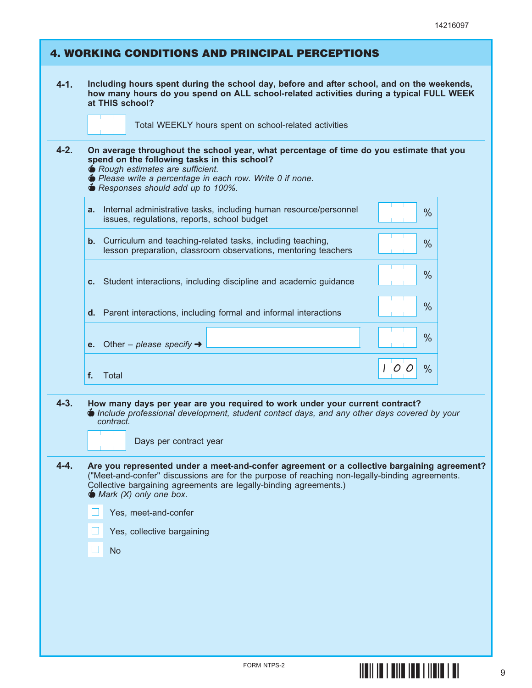| Total WEEKLY hours spent on school-related activities<br>$4 - 2.$<br>On average throughout the school year, what percentage of time do you estimate that you<br>spend on the following tasks in this school?<br>Rough estimates are sufficient.<br>Please write a percentage in each row. Write 0 if none.<br>Responses should add up to 100%.<br>Internal administrative tasks, including human resource/personnel<br>а.<br>$\frac{0}{0}$<br>issues, regulations, reports, school budget<br>b. Curriculum and teaching-related tasks, including teaching,<br>$\%$<br>lesson preparation, classroom observations, mentoring teachers<br>$\%$<br>c. Student interactions, including discipline and academic guidance<br>$\%$<br>d. Parent interactions, including formal and informal interactions<br>$\%$<br>e. Other – please specify $\rightarrow$<br>$\frac{0}{0}$<br>$f_{\rm{r}}$<br>Total<br>How many days per year are you required to work under your current contract?<br>Include professional development, student contact days, and any other days covered by your<br>contract.<br>Days per contract year<br>Are you represented under a meet-and-confer agreement or a collective bargaining agreement?<br>("Meet-and-confer" discussions are for the purpose of reaching non-legally-binding agreements.<br>Collective bargaining agreements are legally-binding agreements.)<br>$\bullet$ Mark (X) only one box.<br>Yes, meet-and-confer<br>Yes, collective bargaining<br><b>No</b> |  |  |
|--------------------------------------------------------------------------------------------------------------------------------------------------------------------------------------------------------------------------------------------------------------------------------------------------------------------------------------------------------------------------------------------------------------------------------------------------------------------------------------------------------------------------------------------------------------------------------------------------------------------------------------------------------------------------------------------------------------------------------------------------------------------------------------------------------------------------------------------------------------------------------------------------------------------------------------------------------------------------------------------------------------------------------------------------------------------------------------------------------------------------------------------------------------------------------------------------------------------------------------------------------------------------------------------------------------------------------------------------------------------------------------------------------------------------------------------------------------------------------------------------|--|--|
|                                                                                                                                                                                                                                                                                                                                                                                                                                                                                                                                                                                                                                                                                                                                                                                                                                                                                                                                                                                                                                                                                                                                                                                                                                                                                                                                                                                                                                                                                                  |  |  |
|                                                                                                                                                                                                                                                                                                                                                                                                                                                                                                                                                                                                                                                                                                                                                                                                                                                                                                                                                                                                                                                                                                                                                                                                                                                                                                                                                                                                                                                                                                  |  |  |
|                                                                                                                                                                                                                                                                                                                                                                                                                                                                                                                                                                                                                                                                                                                                                                                                                                                                                                                                                                                                                                                                                                                                                                                                                                                                                                                                                                                                                                                                                                  |  |  |
|                                                                                                                                                                                                                                                                                                                                                                                                                                                                                                                                                                                                                                                                                                                                                                                                                                                                                                                                                                                                                                                                                                                                                                                                                                                                                                                                                                                                                                                                                                  |  |  |
|                                                                                                                                                                                                                                                                                                                                                                                                                                                                                                                                                                                                                                                                                                                                                                                                                                                                                                                                                                                                                                                                                                                                                                                                                                                                                                                                                                                                                                                                                                  |  |  |
| $4 - 3$ .<br>$4 - 4.$                                                                                                                                                                                                                                                                                                                                                                                                                                                                                                                                                                                                                                                                                                                                                                                                                                                                                                                                                                                                                                                                                                                                                                                                                                                                                                                                                                                                                                                                            |  |  |
|                                                                                                                                                                                                                                                                                                                                                                                                                                                                                                                                                                                                                                                                                                                                                                                                                                                                                                                                                                                                                                                                                                                                                                                                                                                                                                                                                                                                                                                                                                  |  |  |
|                                                                                                                                                                                                                                                                                                                                                                                                                                                                                                                                                                                                                                                                                                                                                                                                                                                                                                                                                                                                                                                                                                                                                                                                                                                                                                                                                                                                                                                                                                  |  |  |
|                                                                                                                                                                                                                                                                                                                                                                                                                                                                                                                                                                                                                                                                                                                                                                                                                                                                                                                                                                                                                                                                                                                                                                                                                                                                                                                                                                                                                                                                                                  |  |  |
|                                                                                                                                                                                                                                                                                                                                                                                                                                                                                                                                                                                                                                                                                                                                                                                                                                                                                                                                                                                                                                                                                                                                                                                                                                                                                                                                                                                                                                                                                                  |  |  |
|                                                                                                                                                                                                                                                                                                                                                                                                                                                                                                                                                                                                                                                                                                                                                                                                                                                                                                                                                                                                                                                                                                                                                                                                                                                                                                                                                                                                                                                                                                  |  |  |
|                                                                                                                                                                                                                                                                                                                                                                                                                                                                                                                                                                                                                                                                                                                                                                                                                                                                                                                                                                                                                                                                                                                                                                                                                                                                                                                                                                                                                                                                                                  |  |  |
|                                                                                                                                                                                                                                                                                                                                                                                                                                                                                                                                                                                                                                                                                                                                                                                                                                                                                                                                                                                                                                                                                                                                                                                                                                                                                                                                                                                                                                                                                                  |  |  |
|                                                                                                                                                                                                                                                                                                                                                                                                                                                                                                                                                                                                                                                                                                                                                                                                                                                                                                                                                                                                                                                                                                                                                                                                                                                                                                                                                                                                                                                                                                  |  |  |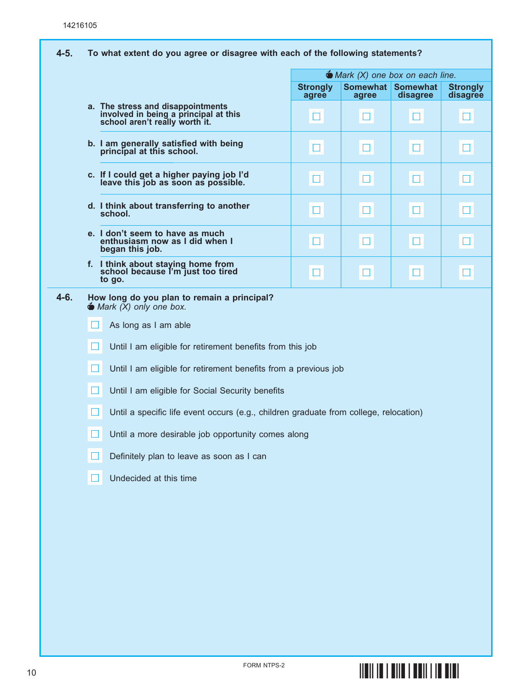| $4 - 5.$ | To what extent do you agree or disagree with each of the following statements?                               |                          |                                          |                               |                             |
|----------|--------------------------------------------------------------------------------------------------------------|--------------------------|------------------------------------------|-------------------------------|-----------------------------|
|          |                                                                                                              |                          | $\bullet$ Mark (X) one box on each line. |                               |                             |
|          |                                                                                                              | <b>Strongly</b><br>agree | agree                                    | Somewhat Somewhat<br>disagree | <b>Strongly</b><br>disagree |
|          | a. The stress and disappointments<br>involved in being a principal at this<br>school aren't really worth it. | $\Box$                   | $\mathbf{I}$                             | $\Box$                        | $\mathsf{L}$                |
|          | b. I am generally satisfied with being<br>principal at this school.                                          | П                        | $\Box$                                   | $\Box$                        | $\Box$                      |
|          | c. If I could get a higher paying job I'd<br>leave this job as soon as possible.                             | П                        | $\Box$                                   | $\Box$                        | $\Box$                      |
|          | d. I think about transferring to another<br>school.                                                          | $\Box$                   | $\Box$                                   | $\Box$                        | $\Box$                      |
|          | e. I don't seem to have as much<br>enthusiasm now as I did when I<br>began this job.                         | П                        | $\Box$                                   | $\Box$                        | $\Box$                      |
|          | f. I think about staying home from<br>school because I'm just too tired<br>to go.                            | П                        | $\Box$                                   | $\Box$                        | $\mathsf{L}$                |
| $4 - 6.$ | How long do you plan to remain a principal?<br>$\bullet$ Mark $(X)$ only one box.                            |                          |                                          |                               |                             |
|          | $\Box$<br>As long as I am able                                                                               |                          |                                          |                               |                             |
|          | $\Box$<br>Until I am eligible for retirement benefits from this job                                          |                          |                                          |                               |                             |
|          | $\Box$<br>Until I am eligible for retirement benefits from a previous job                                    |                          |                                          |                               |                             |
|          | $\perp$<br>Until I am eligible for Social Security benefits                                                  |                          |                                          |                               |                             |
|          | $\perp$<br>Until a specific life event occurs (e.g., children graduate from college, relocation)             |                          |                                          |                               |                             |
|          | Until a more desirable job opportunity comes along                                                           |                          |                                          |                               |                             |
|          | Definitely plan to leave as soon as I can                                                                    |                          |                                          |                               |                             |
|          | Undecided at this time                                                                                       |                          |                                          |                               |                             |
|          |                                                                                                              |                          |                                          |                               |                             |
|          |                                                                                                              |                          |                                          |                               |                             |
|          |                                                                                                              |                          |                                          |                               |                             |
|          |                                                                                                              |                          |                                          |                               |                             |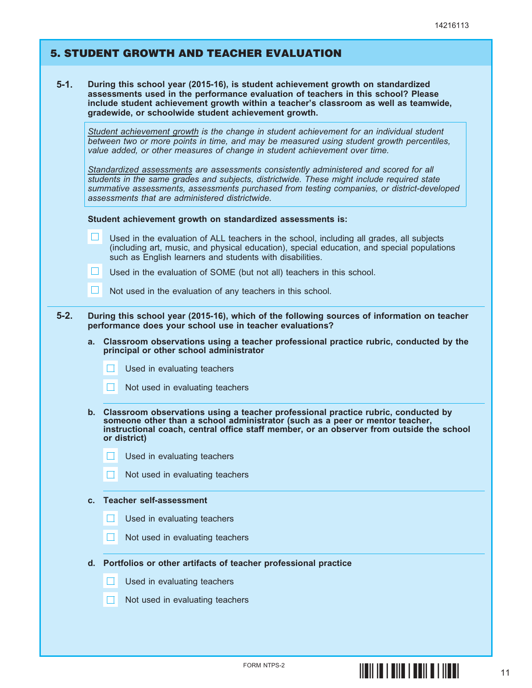| <b>5. STUDENT GROWTH AND TEACHER EVALUATION</b> |  |
|-------------------------------------------------|--|
|-------------------------------------------------|--|

**During this school year (2015-16), is student achievement growth on standardized assessments used in the performance evaluation of teachers in this school? Please include student achievement growth within a teacher's classroom as well as teamwide, gradewide, or schoolwide student achievement growth. 5-1.**

*Student achievement growth is the change in student achievement for an individual student between two or more points in time, and may be measured using student growth percentiles, value added, or other measures of change in student achievement over time.* 

*Standardized assessments are assessments consistently administered and scored for all students in the same grades and subjects, districtwide. These might include required state summative assessments, assessments purchased from testing companies, or district-developed assessments that are administered districtwide.*

**Student achievement growth on standardized assessments is:**

- $\Box$ Used in the evaluation of ALL teachers in the school, including all grades, all subjects (including art, music, and physical education), special education, and special populations such as English learners and students with disabilities.
- $\Box$ Used in the evaluation of SOME (but not all) teachers in this school.
- $\Box$ Not used in the evaluation of any teachers in this school.
- **5-2. During this school year (2015-16), which of the following sources of information on teacher performance does your school use in teacher evaluations?**
	- **a. Classroom observations using a teacher professional practice rubric, conducted by the principal or other school administrator**

a k Used in evaluating teachers

- $\Box$ Not used in evaluating teachers
- **b. Classroom observations using a teacher professional practice rubric, conducted by someone other than a school administrator (such as a peer or mentor teacher, instructional coach, central office staff member, or an observer from outside the school or district)**
	- $\Box$ 
		- Used in evaluating teachers
	- $\Box$ Not used in evaluating teachers

#### **c. Teacher self-assessment**

- ПL. Used in evaluating teachers
- Not used in evaluating teachers  $\blacksquare$
- **d. Portfolios or other artifacts of teacher professional practice**
	- Used in evaluating teachers  $\Box$
	- ПL. Not used in evaluating teachers

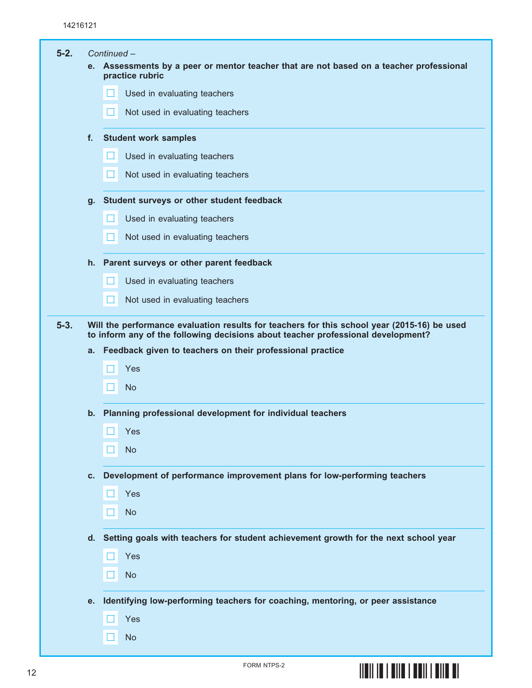| $5 - 2.$ |    | Continued -                                                                                                                                                                     |
|----------|----|---------------------------------------------------------------------------------------------------------------------------------------------------------------------------------|
|          |    | e. Assessments by a peer or mentor teacher that are not based on a teacher professional<br>practice rubric                                                                      |
|          |    | П<br>Used in evaluating teachers                                                                                                                                                |
|          |    | $\Box$<br>Not used in evaluating teachers                                                                                                                                       |
|          | f. | <b>Student work samples</b>                                                                                                                                                     |
|          |    | ⊔<br>Used in evaluating teachers                                                                                                                                                |
|          |    | Not used in evaluating teachers<br>П                                                                                                                                            |
|          |    | g. Student surveys or other student feedback                                                                                                                                    |
|          |    | $\Box$<br>Used in evaluating teachers                                                                                                                                           |
|          |    | $\Box$<br>Not used in evaluating teachers                                                                                                                                       |
|          |    | h. Parent surveys or other parent feedback                                                                                                                                      |
|          |    | $\Box$<br>Used in evaluating teachers                                                                                                                                           |
|          |    | Not used in evaluating teachers<br>П                                                                                                                                            |
| $5 - 3.$ |    | Will the performance evaluation results for teachers for this school year (2015-16) be used<br>to inform any of the following decisions about teacher professional development? |
|          |    |                                                                                                                                                                                 |
|          |    | a. Feedback given to teachers on their professional practice                                                                                                                    |
|          |    | Yes<br>n.                                                                                                                                                                       |
|          |    | <b>No</b>                                                                                                                                                                       |
|          |    | b. Planning professional development for individual teachers                                                                                                                    |
|          |    | $\Box$ Yes                                                                                                                                                                      |
|          |    | <b>No</b>                                                                                                                                                                       |
|          | C. | Development of performance improvement plans for low-performing teachers                                                                                                        |
|          |    | Yes<br>M                                                                                                                                                                        |
|          |    | <b>No</b>                                                                                                                                                                       |
|          |    | d. Setting goals with teachers for student achievement growth for the next school year                                                                                          |
|          |    | Yes<br>M                                                                                                                                                                        |
|          |    | <b>No</b><br>$\mathcal{L}$                                                                                                                                                      |
|          | e. | Identifying low-performing teachers for coaching, mentoring, or peer assistance                                                                                                 |
|          |    | Yes                                                                                                                                                                             |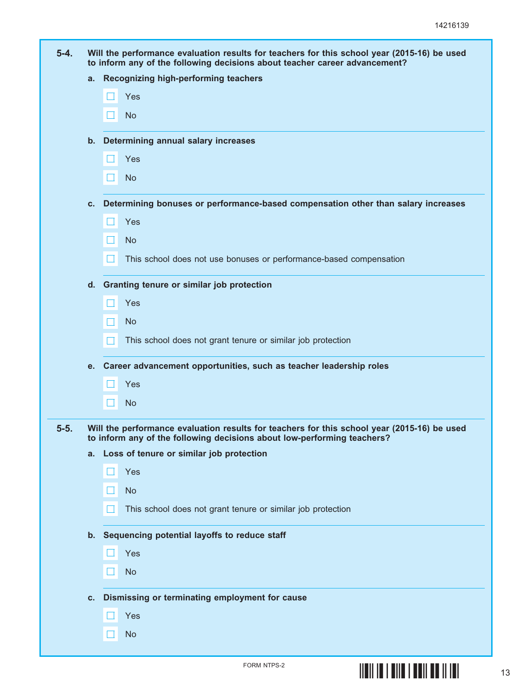**5-4. Will the performance evaluation results for teachers for this school year (2015-16) be used to inform any of the following decisions about teacher career advancement? a. Recognizing high-performing teachers**  $\Box$ Yes NoП **b. Determining annual salary increases**  $\Box$ Yes П No **c. Determining bonuses or performance-based compensation other than salary increases**  $\Box$ Yes  $\Box$ No This school does not use bonuses or performance-based compensation  $\Box$ **d. Granting tenure or similar job protection** Yes No  $\Box$ This school does not grant tenure or similar job protection **e. Career advancement opportunities, such as teacher leadership roles**  $\Box$ Yes  $\Box$ No **5-5. Will the performance evaluation results for teachers for this school year (2015-16) be used to inform any of the following decisions about low-performing teachers? a. Loss of tenure or similar job protection** Yes  $\Box$ No This school does not grant tenure or similar job protection  $\Box$ **b. Sequencing potential layoffs to reduce staff**  $\Box$ Yes  $\Box$ No **c. Dismissing or terminating employment for cause** Yes  $\mathbf{L}$ No  $\Box$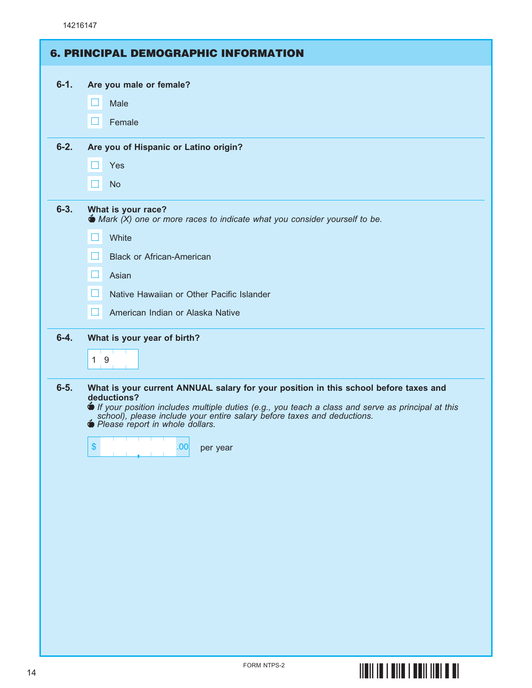|           | <b>6. PRINCIPAL DEMOGRAPHIC INFORMATION</b>                                                                                                                                                                                                                                                                                                             |
|-----------|---------------------------------------------------------------------------------------------------------------------------------------------------------------------------------------------------------------------------------------------------------------------------------------------------------------------------------------------------------|
| $6 - 1$ . | Are you male or female?<br>Male<br>Female<br>$\Box$                                                                                                                                                                                                                                                                                                     |
| $6 - 2.$  | Are you of Hispanic or Latino origin?<br>Yes<br>$\Box$<br><b>No</b>                                                                                                                                                                                                                                                                                     |
| $6 - 3$ . | What is your race?<br>$\bullet$ Mark $(X)$ one or more races to indicate what you consider yourself to be.<br>White<br>$\Box$<br><b>Black or African-American</b><br>$\Box$<br>$\Box$<br>Asian<br>Native Hawaiian or Other Pacific Islander<br>American Indian or Alaska Native<br>$\Box$                                                               |
| $6 - 4.$  | What is your year of birth?<br>9<br>1                                                                                                                                                                                                                                                                                                                   |
| $6 - 5.$  | What is your current ANNUAL salary for your position in this school before taxes and<br>deductions?<br>If your position includes multiple duties (e.g., you teach a class and serve as principal at this school), please include your entire salary before taxes and deductions.<br>Please report in whole dollars.<br>$\,$<br>$ 00\rangle$<br>per year |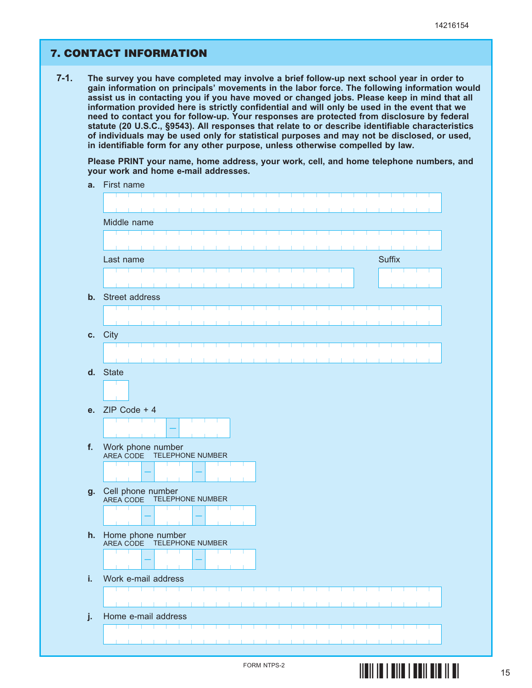### **7. CONTACT INFORMATION**

**7-1. The survey you have completed may involve a brief follow-up next school year in order to gain information on principals' movements in the labor force. The following information would assist us in contacting you if you have moved or changed jobs. Please keep in mind that all information provided here is strictly confidential and will only be used in the event that we need to contact you for follow-up. Your responses are protected from disclosure by federal statute (20 U.S.C., §9543). All responses that relate to or describe identifiable characteristics of individuals may be used only for statistical purposes and may not be disclosed, or used, in identifiable form for any other purpose, unless otherwise compelled by law.** 

**Please PRINT your name, home address, your work, cell, and home telephone numbers, and your work and home e-mail addresses.**

| a.             | First name                                                                                                                                     |                                                        |   |                         |                                                                                                                                                                                                                                      |  |      |      |  |   |  |  |      |     |    |               |     |  |
|----------------|------------------------------------------------------------------------------------------------------------------------------------------------|--------------------------------------------------------|---|-------------------------|--------------------------------------------------------------------------------------------------------------------------------------------------------------------------------------------------------------------------------------|--|------|------|--|---|--|--|------|-----|----|---------------|-----|--|
|                |                                                                                                                                                |                                                        |   |                         |                                                                                                                                                                                                                                      |  |      |      |  |   |  |  |      |     |    |               |     |  |
|                |                                                                                                                                                |                                                        |   |                         |                                                                                                                                                                                                                                      |  |      |      |  |   |  |  |      |     |    |               |     |  |
|                | Middle name                                                                                                                                    |                                                        |   |                         |                                                                                                                                                                                                                                      |  |      |      |  |   |  |  |      |     |    |               |     |  |
|                | $\mathbf{1}$ and $\mathbf{1}$ and $\mathbf{1}$                                                                                                 | т                                                      |   |                         |                                                                                                                                                                                                                                      |  |      |      |  |   |  |  |      |     |    |               |     |  |
|                |                                                                                                                                                |                                                        |   |                         |                                                                                                                                                                                                                                      |  |      |      |  |   |  |  |      |     |    |               |     |  |
|                | Last name                                                                                                                                      |                                                        |   |                         |                                                                                                                                                                                                                                      |  |      |      |  |   |  |  |      |     |    | <b>Suffix</b> |     |  |
|                | and the state of the state                                                                                                                     | л.                                                     |   |                         |                                                                                                                                                                                                                                      |  |      |      |  |   |  |  |      |     |    | H.            | л.  |  |
|                |                                                                                                                                                |                                                        |   |                         |                                                                                                                                                                                                                                      |  |      |      |  |   |  |  |      |     |    |               |     |  |
|                | <b>The Committee of Committee</b>                                                                                                              |                                                        |   |                         |                                                                                                                                                                                                                                      |  |      |      |  |   |  |  |      |     |    |               |     |  |
| $b$ .          | Street address                                                                                                                                 |                                                        |   |                         |                                                                                                                                                                                                                                      |  |      |      |  |   |  |  |      |     |    |               |     |  |
|                |                                                                                                                                                |                                                        |   |                         |                                                                                                                                                                                                                                      |  |      |      |  |   |  |  |      |     |    |               |     |  |
|                |                                                                                                                                                |                                                        |   |                         |                                                                                                                                                                                                                                      |  |      |      |  |   |  |  |      |     |    |               |     |  |
| c.             | City                                                                                                                                           |                                                        |   |                         |                                                                                                                                                                                                                                      |  |      |      |  |   |  |  |      |     |    |               |     |  |
|                | т.                                                                                                                                             |                                                        |   |                         |                                                                                                                                                                                                                                      |  |      |      |  |   |  |  |      |     |    |               |     |  |
|                |                                                                                                                                                |                                                        |   |                         |                                                                                                                                                                                                                                      |  |      |      |  |   |  |  |      |     |    |               |     |  |
| d.             | State                                                                                                                                          |                                                        |   |                         |                                                                                                                                                                                                                                      |  |      |      |  |   |  |  |      |     |    |               |     |  |
|                | - 11                                                                                                                                           |                                                        |   |                         |                                                                                                                                                                                                                                      |  |      |      |  |   |  |  |      |     |    |               |     |  |
|                |                                                                                                                                                |                                                        |   |                         |                                                                                                                                                                                                                                      |  |      |      |  |   |  |  |      |     |    |               |     |  |
|                |                                                                                                                                                |                                                        |   |                         |                                                                                                                                                                                                                                      |  |      |      |  |   |  |  |      |     |    |               |     |  |
|                |                                                                                                                                                |                                                        |   |                         |                                                                                                                                                                                                                                      |  |      |      |  |   |  |  |      |     |    |               |     |  |
|                | $ZIP Code + 4$                                                                                                                                 |                                                        |   |                         |                                                                                                                                                                                                                                      |  |      |      |  |   |  |  |      |     |    |               |     |  |
|                |                                                                                                                                                | - 11                                                   |   |                         |                                                                                                                                                                                                                                      |  |      |      |  |   |  |  |      |     |    |               |     |  |
|                | $1 - 1 - 1 - 1$                                                                                                                                |                                                        |   |                         |                                                                                                                                                                                                                                      |  |      |      |  |   |  |  |      |     |    |               |     |  |
|                |                                                                                                                                                |                                                        |   |                         |                                                                                                                                                                                                                                      |  |      |      |  |   |  |  |      |     |    |               |     |  |
|                | Work phone number<br>AREA CODE TELEPHONE NUMBER<br>п.                                                                                          |                                                        |   |                         |                                                                                                                                                                                                                                      |  |      |      |  |   |  |  |      |     |    |               |     |  |
|                |                                                                                                                                                |                                                        |   |                         |                                                                                                                                                                                                                                      |  |      |      |  |   |  |  |      |     |    |               |     |  |
|                |                                                                                                                                                |                                                        |   |                         |                                                                                                                                                                                                                                      |  |      |      |  |   |  |  |      |     |    |               |     |  |
|                | Cell phone number<br>AREA CODE                                                                                                                 |                                                        |   | <b>TELEPHONE NUMBER</b> |                                                                                                                                                                                                                                      |  |      |      |  |   |  |  |      |     |    |               |     |  |
|                | - 11                                                                                                                                           |                                                        |   |                         |                                                                                                                                                                                                                                      |  | - 12 | - 11 |  |   |  |  |      |     |    |               |     |  |
| e.<br>f.<br>g. |                                                                                                                                                |                                                        |   |                         |                                                                                                                                                                                                                                      |  |      |      |  |   |  |  |      |     |    |               |     |  |
|                |                                                                                                                                                |                                                        |   |                         |                                                                                                                                                                                                                                      |  |      |      |  |   |  |  |      |     |    |               |     |  |
| h.             | Home phone number<br>AREA CODE                                                                                                                 |                                                        |   | TELEPHONE NUMBER        |                                                                                                                                                                                                                                      |  |      |      |  |   |  |  |      |     |    |               |     |  |
|                | $\mathbf{1}$                                                                                                                                   |                                                        |   | л.                      |                                                                                                                                                                                                                                      |  | .    |      |  |   |  |  |      |     |    |               |     |  |
|                |                                                                                                                                                |                                                        |   |                         |                                                                                                                                                                                                                                      |  |      |      |  |   |  |  |      |     |    |               |     |  |
|                | Work e-mail address                                                                                                                            |                                                        |   |                         |                                                                                                                                                                                                                                      |  |      |      |  |   |  |  |      |     |    |               |     |  |
|                | and a strong strong                                                                                                                            | ┳                                                      | ┱ |                         | <u>a sa mga sangayon ng mga sangayon ng mga sangayon ng mga sangayon ng mga sangayon ng mga sangayon ng mga sangayon ng mga sangayon ng mga sangayon ng mga sangayon ng mga sangayon ng mga sangayon ng mga sangayon ng mga sang</u> |  |      |      |  |   |  |  | a ka | -11 | л. | л.            | -11 |  |
|                |                                                                                                                                                |                                                        |   |                         |                                                                                                                                                                                                                                      |  |      |      |  |   |  |  |      |     |    |               |     |  |
|                |                                                                                                                                                |                                                        |   |                         |                                                                                                                                                                                                                                      |  |      |      |  |   |  |  |      |     |    |               |     |  |
| i.<br>j.       | Home e-mail address<br><u> Indian American American Indian American American Indian American Indian American Indian Indian American Indian</u> |                                                        |   |                         |                                                                                                                                                                                                                                      |  |      |      |  |   |  |  |      |     |    |               |     |  |
|                |                                                                                                                                                | <b>The Committee of the Committee of the Committee</b> |   |                         |                                                                                                                                                                                                                                      |  |      |      |  | . |  |  |      |     |    |               |     |  |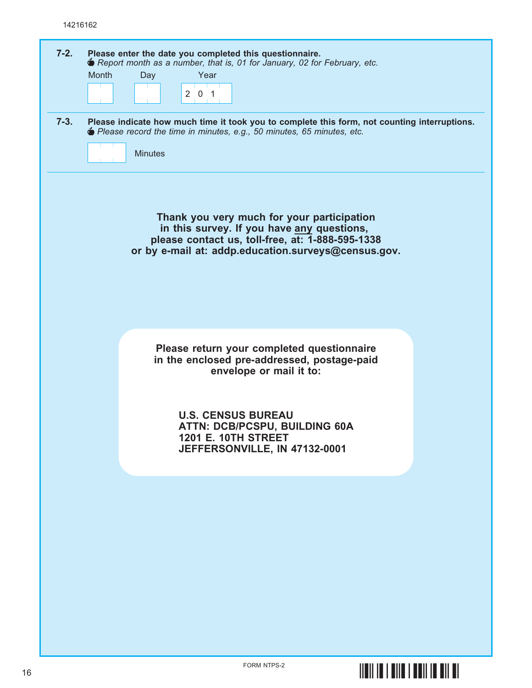

**§/6^\_¤**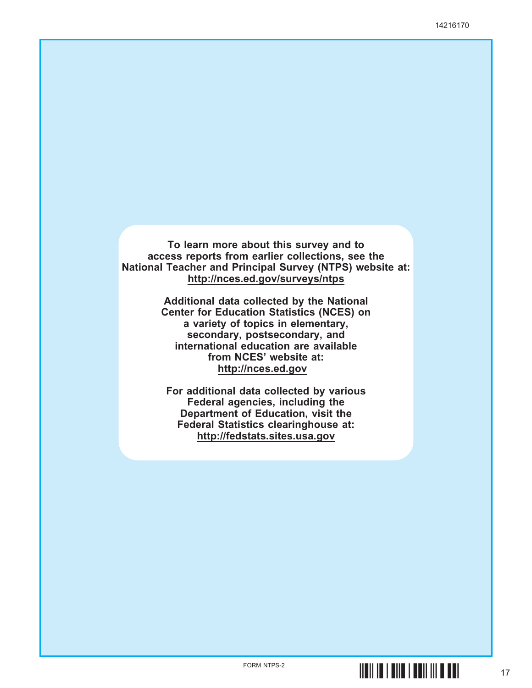**To learn more about this survey and to access reports from earlier collections, see the National Teacher and Principal Survey (NTPS) website at: http://nces.ed.gov/surveys/ntps**

> **Additional data collected by the National Center for Education Statistics (NCES) on a variety of topics in elementary, secondary, postsecondary, and international education are available from NCES' website at: http://nces.ed.gov**

**For additional data collected by various Federal agencies, including the Department of Education, visit the Federal Statistics clearinghouse at: http://fedstats.sites.usa.gov**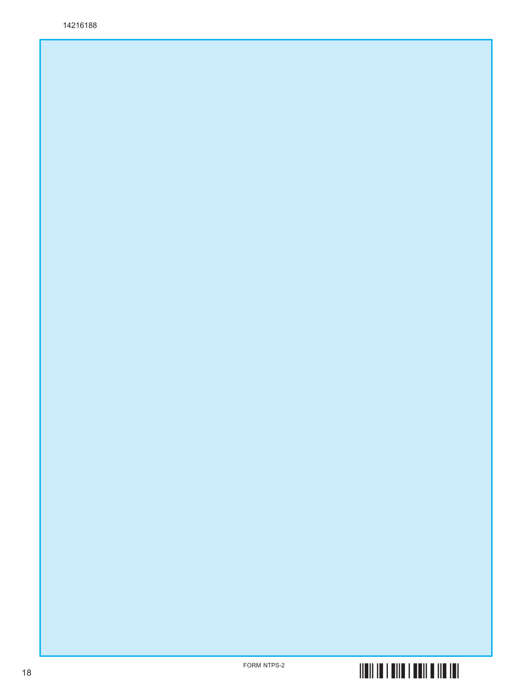